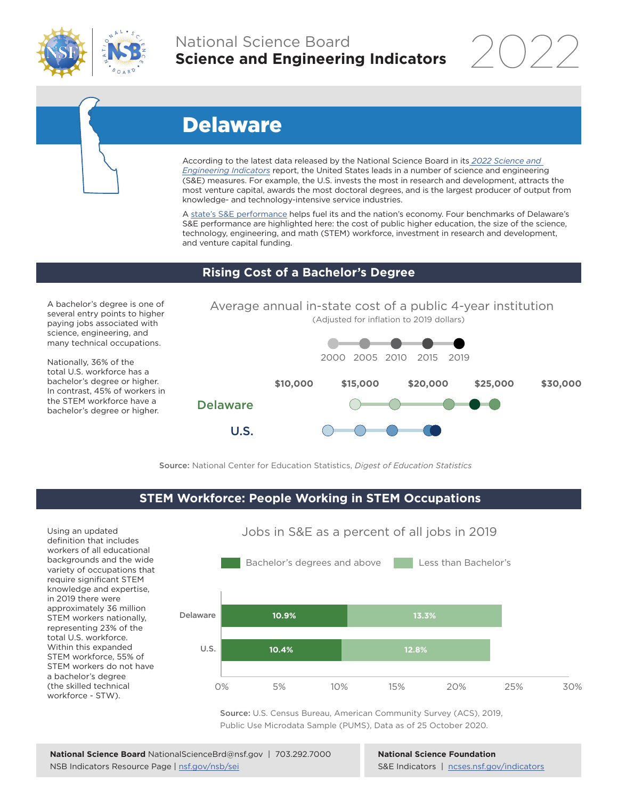

## National Science Board **Science and Engineering Indicators**

2022

# Delaware

According to the latest data released by the National Science Board in its *2022 Science and Engineering Indicators* report, the United States leads in a number of science and engineering (S&E) measures. For example, the U.S. invests the most in research and development, attracts the most venture capital, awards the most doctoral degrees, and is the largest producer of output from knowledge- and technology-intensive service industries.

A state's S&E performance helps fuel its and the nation's economy. Four benchmarks of Delaware's S&E performance are highlighted here: the cost of public higher education, the size of the science, technology, engineering, and math (STEM) workforce, investment in research and development, and venture capital funding.

#### **Rising Cost of a Bachelor's Degree**

A bachelor's degree is one of several entry points to higher paying jobs associated with science, engineering, and many technical occupations.

Nationally, 36% of the total U.S. workforce has a bachelor's degree or higher. In contrast, 45% of workers in the STEM workforce have a bachelor's degree or higher.



Source: National Center for Education Statistics, *Digest of Education Statistics*

#### **STEM Workforce: People Working in STEM Occupations**

Using an updated definition that includes workers of all educational backgrounds and the wide variety of occupations that require significant STEM knowledge and expertise, in 2019 there were approximately 36 million STEM workers nationally, representing 23% of the total U.S. workforce. Within this expanded STEM workforce, 55% of STEM workers do not have a bachelor's degree (the skilled technical workforce - STW).



Source: U.S. Census Bureau, American Community Survey (ACS), 2019, Public Use Microdata Sample (PUMS), Data as of 25 October 2020.

**National Science Foundation** S&E Indicators | ncses.nsf.gov/indicators

### Jobs in S&E as a percent of all jobs in 2019